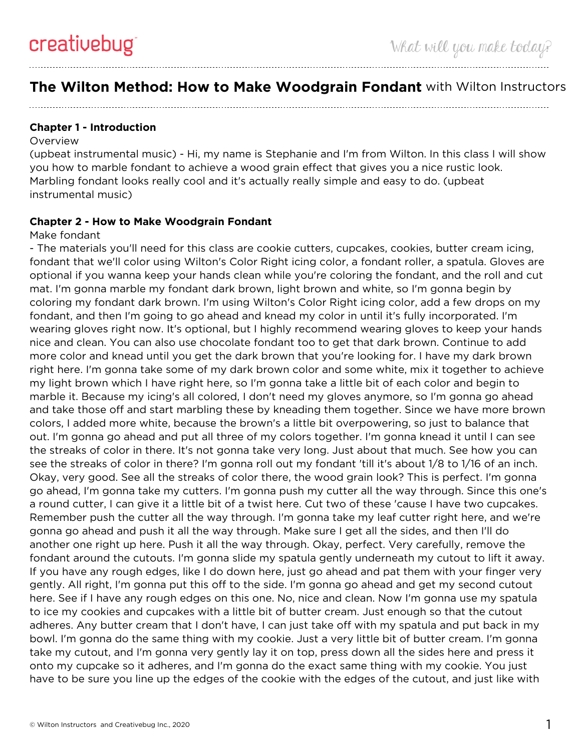# **The Wilton Method: How to Make Woodgrain Fondant** with Wilton Instructors

# **Chapter 1 - Introduction**

### Overview

(upbeat instrumental music) - Hi, my name is Stephanie and I'm from Wilton. In this class I will show you how to marble fondant to achieve a wood grain effect that gives you a nice rustic look. Marbling fondant looks really cool and it's actually really simple and easy to do. (upbeat instrumental music)

# **Chapter 2 - How to Make Woodgrain Fondant**

### Make fondant

- The materials you'll need for this class are cookie cutters, cupcakes, cookies, butter cream icing, fondant that we'll color using Wilton's Color Right icing color, a fondant roller, a spatula. Gloves are optional if you wanna keep your hands clean while you're coloring the fondant, and the roll and cut mat. I'm gonna marble my fondant dark brown, light brown and white, so I'm gonna begin by coloring my fondant dark brown. I'm using Wilton's Color Right icing color, add a few drops on my fondant, and then I'm going to go ahead and knead my color in until it's fully incorporated. I'm wearing gloves right now. It's optional, but I highly recommend wearing gloves to keep your hands nice and clean. You can also use chocolate fondant too to get that dark brown. Continue to add more color and knead until you get the dark brown that you're looking for. I have my dark brown right here. I'm gonna take some of my dark brown color and some white, mix it together to achieve my light brown which I have right here, so I'm gonna take a little bit of each color and begin to marble it. Because my icing's all colored, I don't need my gloves anymore, so I'm gonna go ahead and take those off and start marbling these by kneading them together. Since we have more brown colors, I added more white, because the brown's a little bit overpowering, so just to balance that out. I'm gonna go ahead and put all three of my colors together. I'm gonna knead it until I can see the streaks of color in there. It's not gonna take very long. Just about that much. See how you can see the streaks of color in there? I'm gonna roll out my fondant 'till it's about 1/8 to 1/16 of an inch. Okay, very good. See all the streaks of color there, the wood grain look? This is perfect. I'm gonna go ahead, I'm gonna take my cutters. I'm gonna push my cutter all the way through. Since this one's a round cutter, I can give it a little bit of a twist here. Cut two of these 'cause I have two cupcakes. Remember push the cutter all the way through. I'm gonna take my leaf cutter right here, and we're gonna go ahead and push it all the way through. Make sure I get all the sides, and then I'll do another one right up here. Push it all the way through. Okay, perfect. Very carefully, remove the fondant around the cutouts. I'm gonna slide my spatula gently underneath my cutout to lift it away. If you have any rough edges, like I do down here, just go ahead and pat them with your finger very gently. All right, I'm gonna put this off to the side. I'm gonna go ahead and get my second cutout here. See if I have any rough edges on this one. No, nice and clean. Now I'm gonna use my spatula to ice my cookies and cupcakes with a little bit of butter cream. Just enough so that the cutout adheres. Any butter cream that I don't have, I can just take off with my spatula and put back in my bowl. I'm gonna do the same thing with my cookie. Just a very little bit of butter cream. I'm gonna take my cutout, and I'm gonna very gently lay it on top, press down all the sides here and press it onto my cupcake so it adheres, and I'm gonna do the exact same thing with my cookie. You just have to be sure you line up the edges of the cookie with the edges of the cutout, and just like with